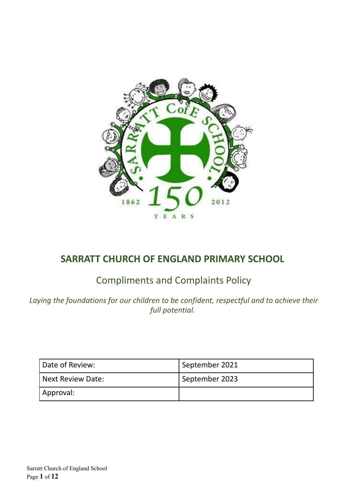

# **SARRATT CHURCH OF ENGLAND PRIMARY SCHOOL**

# Compliments and Complaints Policy

*Laying the foundations for our children to be confident, respectful and to achieve their full potential.*

| Date of Review:   | September 2021 |
|-------------------|----------------|
| Next Review Date: | September 2023 |
| Approval:         |                |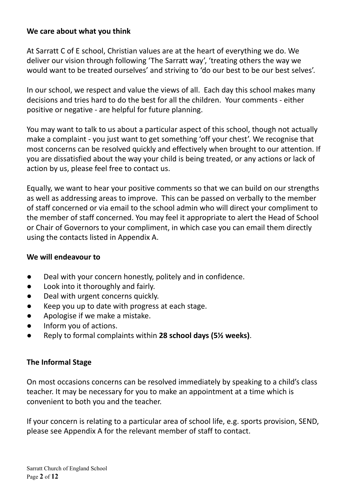### **We care about what you think**

At Sarratt C of E school, Christian values are at the heart of everything we do. We deliver our vision through following 'The Sarratt way', 'treating others the way we would want to be treated ourselves' and striving to 'do our best to be our best selves'.

In our school, we respect and value the views of all. Each day this school makes many decisions and tries hard to do the best for all the children. Your comments - either positive or negative - are helpful for future planning.

You may want to talk to us about a particular aspect of this school, though not actually make a complaint - you just want to get something 'off your chest'. We recognise that most concerns can be resolved quickly and effectively when brought to our attention. If you are dissatisfied about the way your child is being treated, or any actions or lack of action by us, please feel free to contact us.

Equally, we want to hear your positive comments so that we can build on our strengths as well as addressing areas to improve. This can be passed on verbally to the member of staff concerned or via email to the school admin who will direct your compliment to the member of staff concerned. You may feel it appropriate to alert the Head of School or Chair of Governors to your compliment, in which case you can email them directly using the contacts listed in Appendix A.

#### **We will endeavour to**

- Deal with your concern honestly, politely and in confidence.
- Look into it thoroughly and fairly.
- Deal with urgent concerns quickly.
- Keep you up to date with progress at each stage.
- Apologise if we make a mistake.
- Inform you of actions.
- Reply to formal complaints within **28 school days (5½ weeks)**.

#### **The Informal Stage**

On most occasions concerns can be resolved immediately by speaking to a child's class teacher. It may be necessary for you to make an appointment at a time which is convenient to both you and the teacher.

If your concern is relating to a particular area of school life, e.g. sports provision, SEND, please see Appendix A for the relevant member of staff to contact.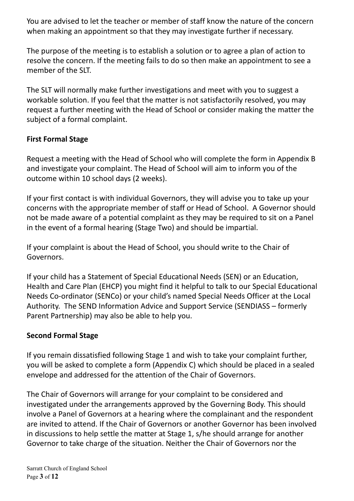You are advised to let the teacher or member of staff know the nature of the concern when making an appointment so that they may investigate further if necessary.

The purpose of the meeting is to establish a solution or to agree a plan of action to resolve the concern. If the meeting fails to do so then make an appointment to see a member of the SLT.

The SLT will normally make further investigations and meet with you to suggest a workable solution. If you feel that the matter is not satisfactorily resolved, you may request a further meeting with the Head of School or consider making the matter the subject of a formal complaint.

# **First Formal Stage**

Request a meeting with the Head of School who will complete the form in Appendix B and investigate your complaint. The Head of School will aim to inform you of the outcome within 10 school days (2 weeks).

If your first contact is with individual Governors, they will advise you to take up your concerns with the appropriate member of staff or Head of School. A Governor should not be made aware of a potential complaint as they may be required to sit on a Panel in the event of a formal hearing (Stage Two) and should be impartial.

If your complaint is about the Head of School, you should write to the Chair of Governors.

If your child has a Statement of Special Educational Needs (SEN) or an Education, Health and Care Plan (EHCP) you might find it helpful to talk to our Special Educational Needs Co-ordinator (SENCo) or your child's named Special Needs Officer at the Local Authority. The SEND Information Advice and Support Service (SENDIASS – formerly Parent Partnership) may also be able to help you.

# **Second Formal Stage**

If you remain dissatisfied following Stage 1 and wish to take your complaint further, you will be asked to complete a form (Appendix C) which should be placed in a sealed envelope and addressed for the attention of the Chair of Governors.

The Chair of Governors will arrange for your complaint to be considered and investigated under the arrangements approved by the Governing Body. This should involve a Panel of Governors at a hearing where the complainant and the respondent are invited to attend. If the Chair of Governors or another Governor has been involved in discussions to help settle the matter at Stage 1, s/he should arrange for another Governor to take charge of the situation. Neither the Chair of Governors nor the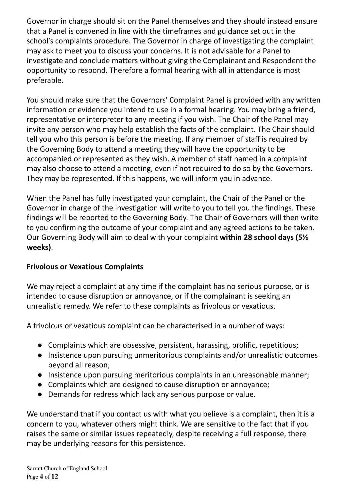Governor in charge should sit on the Panel themselves and they should instead ensure that a Panel is convened in line with the timeframes and guidance set out in the school's complaints procedure. The Governor in charge of investigating the complaint may ask to meet you to discuss your concerns. It is not advisable for a Panel to investigate and conclude matters without giving the Complainant and Respondent the opportunity to respond. Therefore a formal hearing with all in attendance is most preferable.

You should make sure that the Governors' Complaint Panel is provided with any written information or evidence you intend to use in a formal hearing. You may bring a friend, representative or interpreter to any meeting if you wish. The Chair of the Panel may invite any person who may help establish the facts of the complaint. The Chair should tell you who this person is before the meeting. If any member of staff is required by the Governing Body to attend a meeting they will have the opportunity to be accompanied or represented as they wish. A member of staff named in a complaint may also choose to attend a meeting, even if not required to do so by the Governors. They may be represented. If this happens, we will inform you in advance.

When the Panel has fully investigated your complaint, the Chair of the Panel or the Governor in charge of the investigation will write to you to tell you the findings. These findings will be reported to the Governing Body. The Chair of Governors will then write to you confirming the outcome of your complaint and any agreed actions to be taken. Our Governing Body will aim to deal with your complaint **within 28 school days (5½ weeks)**.

# **Frivolous or Vexatious Complaints**

We may reject a complaint at any time if the complaint has no serious purpose, or is intended to cause disruption or annoyance, or if the complainant is seeking an unrealistic remedy. We refer to these complaints as frivolous or vexatious.

A frivolous or vexatious complaint can be characterised in a number of ways:

- Complaints which are obsessive, persistent, harassing, prolific, repetitious;
- Insistence upon pursuing unmeritorious complaints and/or unrealistic outcomes beyond all reason;
- Insistence upon pursuing meritorious complaints in an unreasonable manner;
- Complaints which are designed to cause disruption or annoyance;
- Demands for redress which lack any serious purpose or value.

We understand that if you contact us with what you believe is a complaint, then it is a concern to you, whatever others might think. We are sensitive to the fact that if you raises the same or similar issues repeatedly, despite receiving a full response, there may be underlying reasons for this persistence.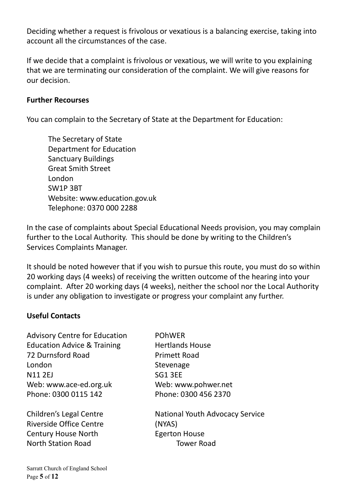Deciding whether a request is frivolous or vexatious is a balancing exercise, taking into account all the circumstances of the case.

If we decide that a complaint is frivolous or vexatious, we will write to you explaining that we are terminating our consideration of the complaint. We will give reasons for our decision.

#### **Further Recourses**

You can complain to the Secretary of State at the Department for Education:

The Secretary of State Department for Education Sanctuary Buildings Great Smith Street London SW1P 3BT Website: www.education.gov.uk Telephone: 0370 000 2288

In the case of complaints about Special Educational Needs provision, you may complain further to the Local Authority. This should be done by writing to the Children's Services Complaints Manager.

It should be noted however that if you wish to pursue this route, you must do so within 20 working days (4 weeks) of receiving the written outcome of the hearing into your complaint. After 20 working days (4 weeks), neither the school nor the Local Authority is under any obligation to investigate or progress your complaint any further.

#### **Useful Contacts**

Advisory Centre for Education POhWER Education Advice & Training Hertlands House 72 Durnsford Road Primett Road London Stevenage N11 2EJ SG1 3EE Web: www.ace-ed.org.uk Web: www.pohwer.net Phone: 0300 0115 142 Phone: 0300 456 2370

Riverside Office Centre (NYAS) Century House North Egerton House North Station Road Tower Road

Children's Legal Centre National Youth Advocacy Service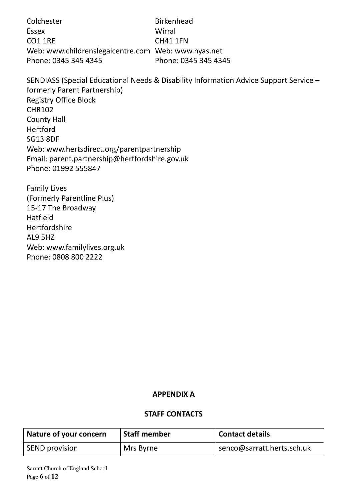Colchester **Birkenhead** Essex Wirral CO1 1RE CH41 1FN Web: www.childrenslegalcentre.com Web: www.nyas.net Phone: 0345 345 4345 Phone: 0345 345 4345

SENDIASS (Special Educational Needs & Disability Information Advice Support Service – formerly Parent Partnership) Registry Office Block CHR102 County Hall Hertford SG13 8DF Web: www.hertsdirect.org/parentpartnership Email: parent.partnership@hertfordshire.gov.uk Phone: 01992 555847

Family Lives (Formerly Parentline Plus) 15-17 The Broadway Hatfield Hertfordshire AL9 5HZ Web: www.familylives.org.uk Phone: 0808 800 2222

#### **APPENDIX A**

#### **STAFF CONTACTS**

| Nature of your concern | <b>Staff member</b> | Contact details              |
|------------------------|---------------------|------------------------------|
| <b>SEND</b> provision  | Mrs Byrne           | I senco@sarratt.herts.sch.uk |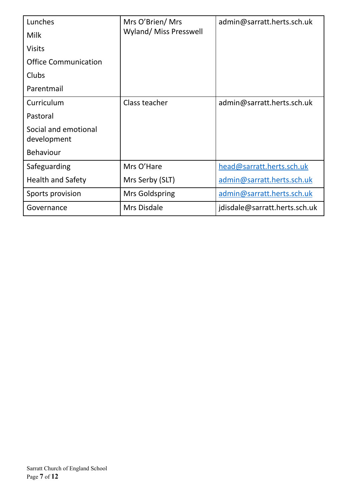| Lunches                             | Mrs O'Brien/ Mrs<br><b>Wyland/ Miss Presswell</b> | admin@sarratt.herts.sch.uk    |
|-------------------------------------|---------------------------------------------------|-------------------------------|
| <b>Milk</b>                         |                                                   |                               |
| <b>Visits</b>                       |                                                   |                               |
| <b>Office Communication</b>         |                                                   |                               |
| Clubs                               |                                                   |                               |
| Parentmail                          |                                                   |                               |
| Curriculum                          | Class teacher                                     | admin@sarratt.herts.sch.uk    |
| Pastoral                            |                                                   |                               |
| Social and emotional<br>development |                                                   |                               |
| <b>Behaviour</b>                    |                                                   |                               |
| Safeguarding                        | Mrs O'Hare                                        | head@sarratt.herts.sch.uk     |
| <b>Health and Safety</b>            | Mrs Serby (SLT)                                   | admin@sarratt.herts.sch.uk    |
| Sports provision                    | Mrs Goldspring                                    | admin@sarratt.herts.sch.uk    |
| Governance                          | Mrs Disdale                                       | jdisdale@sarratt.herts.sch.uk |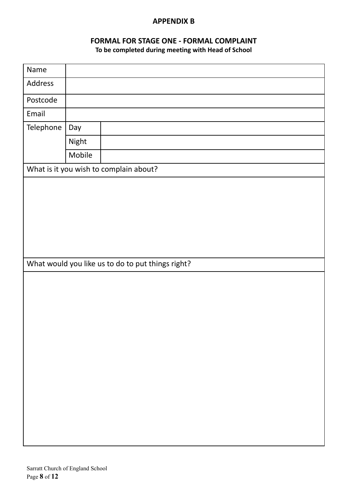#### **APPENDIX B**

# **FORMAL FOR STAGE ONE - FORMAL COMPLAINT**

**To be completed during meeting with Head of School**

| Name                                              |        |  |  |  |  |  |  |  |  |  |  |  |  |
|---------------------------------------------------|--------|--|--|--|--|--|--|--|--|--|--|--|--|
| Address                                           |        |  |  |  |  |  |  |  |  |  |  |  |  |
| Postcode                                          |        |  |  |  |  |  |  |  |  |  |  |  |  |
| Email                                             |        |  |  |  |  |  |  |  |  |  |  |  |  |
| Telephone                                         | Day    |  |  |  |  |  |  |  |  |  |  |  |  |
|                                                   | Night  |  |  |  |  |  |  |  |  |  |  |  |  |
|                                                   | Mobile |  |  |  |  |  |  |  |  |  |  |  |  |
| What is it you wish to complain about?            |        |  |  |  |  |  |  |  |  |  |  |  |  |
|                                                   |        |  |  |  |  |  |  |  |  |  |  |  |  |
|                                                   |        |  |  |  |  |  |  |  |  |  |  |  |  |
|                                                   |        |  |  |  |  |  |  |  |  |  |  |  |  |
|                                                   |        |  |  |  |  |  |  |  |  |  |  |  |  |
|                                                   |        |  |  |  |  |  |  |  |  |  |  |  |  |
|                                                   |        |  |  |  |  |  |  |  |  |  |  |  |  |
|                                                   |        |  |  |  |  |  |  |  |  |  |  |  |  |
| What would you like us to do to put things right? |        |  |  |  |  |  |  |  |  |  |  |  |  |
|                                                   |        |  |  |  |  |  |  |  |  |  |  |  |  |
|                                                   |        |  |  |  |  |  |  |  |  |  |  |  |  |
|                                                   |        |  |  |  |  |  |  |  |  |  |  |  |  |
|                                                   |        |  |  |  |  |  |  |  |  |  |  |  |  |
|                                                   |        |  |  |  |  |  |  |  |  |  |  |  |  |
|                                                   |        |  |  |  |  |  |  |  |  |  |  |  |  |
|                                                   |        |  |  |  |  |  |  |  |  |  |  |  |  |
|                                                   |        |  |  |  |  |  |  |  |  |  |  |  |  |
|                                                   |        |  |  |  |  |  |  |  |  |  |  |  |  |
|                                                   |        |  |  |  |  |  |  |  |  |  |  |  |  |
|                                                   |        |  |  |  |  |  |  |  |  |  |  |  |  |
|                                                   |        |  |  |  |  |  |  |  |  |  |  |  |  |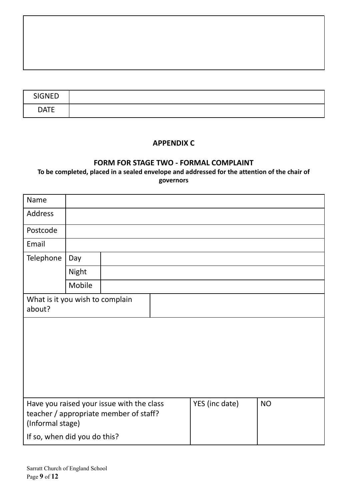| <b>SIGNED</b> |  |
|---------------|--|
| <b>DATE</b>   |  |

#### **APPENDIX C**

#### **FORM FOR STAGE TWO - FORMAL COMPLAINT**

**To be completed, placed in a sealed envelope and addressed for the attention of the chair of governors**

| Name                                      |        |                                                                                     |                |           |
|-------------------------------------------|--------|-------------------------------------------------------------------------------------|----------------|-----------|
| <b>Address</b>                            |        |                                                                                     |                |           |
| Postcode                                  |        |                                                                                     |                |           |
| Email                                     |        |                                                                                     |                |           |
| Telephone                                 | Day    |                                                                                     |                |           |
|                                           | Night  |                                                                                     |                |           |
|                                           | Mobile |                                                                                     |                |           |
| What is it you wish to complain<br>about? |        |                                                                                     |                |           |
|                                           |        |                                                                                     |                |           |
|                                           |        |                                                                                     |                |           |
|                                           |        |                                                                                     |                |           |
|                                           |        |                                                                                     |                |           |
|                                           |        |                                                                                     |                |           |
| (Informal stage)                          |        | Have you raised your issue with the class<br>teacher / appropriate member of staff? | YES (inc date) | <b>NO</b> |
| If so, when did you do this?              |        |                                                                                     |                |           |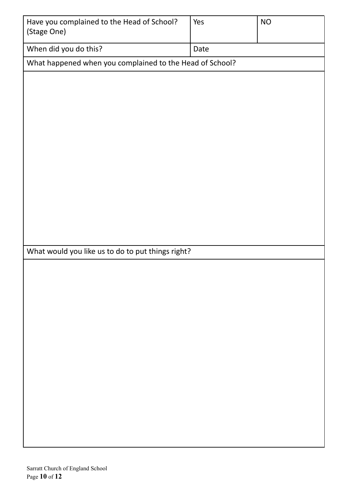| Have you complained to the Head of School?<br>(Stage One) | Yes  | <b>NO</b> |
|-----------------------------------------------------------|------|-----------|
| When did you do this?                                     | Date |           |
| What happened when you complained to the Head of School?  |      |           |
|                                                           |      |           |
|                                                           |      |           |
|                                                           |      |           |
|                                                           |      |           |
|                                                           |      |           |
|                                                           |      |           |
|                                                           |      |           |
|                                                           |      |           |
|                                                           |      |           |
|                                                           |      |           |
|                                                           |      |           |
|                                                           |      |           |
| What would you like us to do to put things right?         |      |           |
|                                                           |      |           |
|                                                           |      |           |
|                                                           |      |           |
|                                                           |      |           |
|                                                           |      |           |
|                                                           |      |           |
|                                                           |      |           |
|                                                           |      |           |
|                                                           |      |           |
|                                                           |      |           |
|                                                           |      |           |
|                                                           |      |           |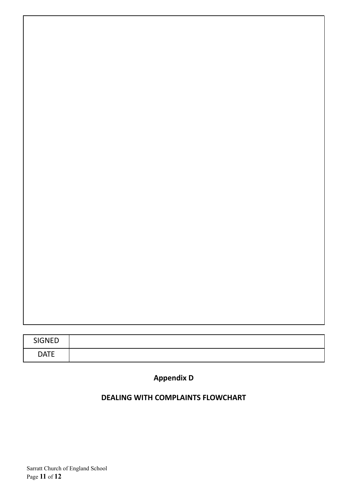| <b>SIGNED</b> |  |
|---------------|--|
| <b>DATE</b>   |  |

# **Appendix D**

# **DEALING WITH COMPLAINTS FLOWCHART**